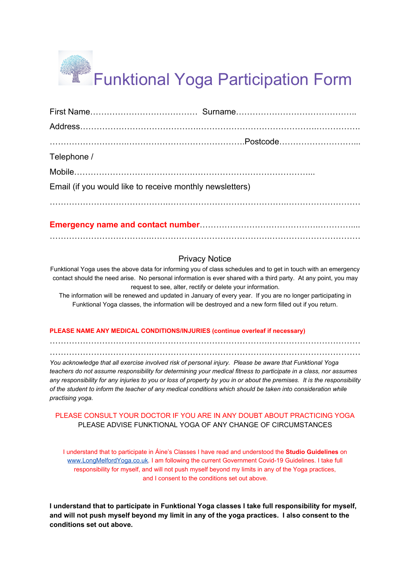## Funktional Yoga Participation Form

| Telephone /                                              |  |  |
|----------------------------------------------------------|--|--|
|                                                          |  |  |
| Email (if you would like to receive monthly newsletters) |  |  |
|                                                          |  |  |
|                                                          |  |  |
|                                                          |  |  |

## Privacy Notice

Funktional Yoga uses the above data for informing you of class schedules and to get in touch with an emergency contact should the need arise. No personal information is ever shared with a third party. At any point, you may request to see, alter, rectify or delete your information.

The information will be renewed and updated in January of every year. If you are no longer participating in Funktional Yoga classes, the information will be destroyed and a new form filled out if you return.

## **PLEASE NAME ANY MEDICAL CONDITIONS/INJURIES (continue overleaf if necessary)**

……………………………….…………………………………….…………………………… ……………………………….…………………………………….……………………………

*You acknowledge that all exercise involved risk of personal injury. Please be aware that Funktional Yoga teachers do not assume responsibility for determining your medical fitness to participate in a class, nor assumes any responsibility for any injuries to you or loss of property by you in or about the premises. It is the responsibility of the student to inform the teacher of any medical conditions which should be taken into consideration while practising yoga.*

## PLEASE CONSULT YOUR DOCTOR IF YOU ARE IN ANY DOUBT ABOUT PRACTICING YOGA PLEASE ADVISE FUNKTIONAL YOGA OF ANY CHANGE OF CIRCUMSTANCES

I understand that to participate in Áine's Classes I have read and understood the **Studio Guidelines** on [www.LongMelfordYoga.co.uk.](http://www.longmelfordyoga.co.uk/) I am following the current Government Covid-19 Guidelines. I take full responsibility for myself, and will not push myself beyond my limits in any of the Yoga practices, and I consent to the conditions set out above.

**I understand that to participate in Funktional Yoga classes I take full responsibility for myself,** and will not push myself beyond my limit in any of the yoga practices. I also consent to the **conditions set out above.**